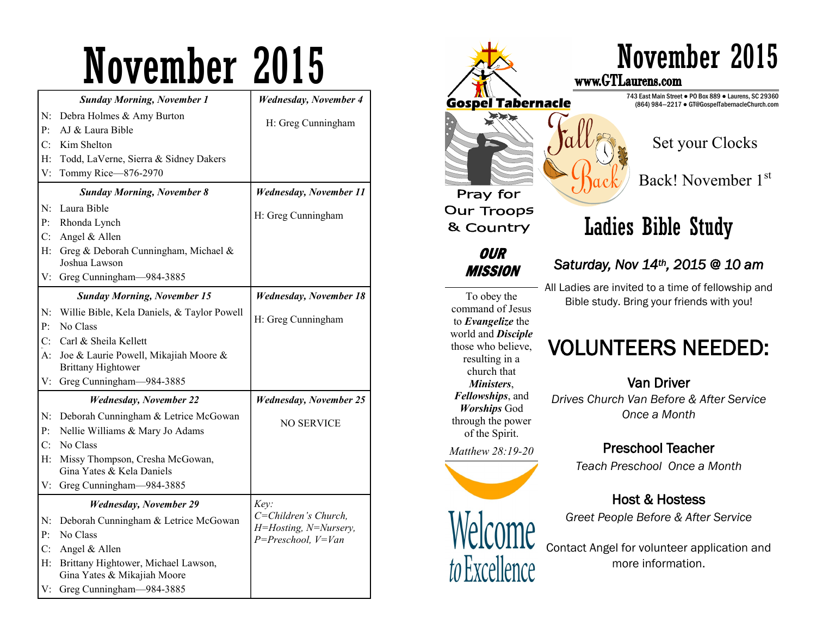|                               | <b>Sunday Morning, November 1</b>                                  | <b>Wednesday, November 4</b>  |
|-------------------------------|--------------------------------------------------------------------|-------------------------------|
| $N$ :                         | Debra Holmes & Amy Burton                                          |                               |
| P:                            | AJ & Laura Bible                                                   | H: Greg Cunningham            |
| $C^{\cdot}$                   | Kim Shelton                                                        |                               |
| H:                            | Todd, LaVerne, Sierra & Sidney Dakers                              |                               |
| V:                            | Tommy Rice-876-2970                                                |                               |
|                               | <b>Sunday Morning, November 8</b>                                  | <b>Wednesday, November 11</b> |
| N:                            | Laura Bible                                                        |                               |
| P <sub>i</sub>                | Rhonda Lynch                                                       | H: Greg Cunningham            |
| $C_{\cdot}$                   | Angel & Allen                                                      |                               |
| $H$ :                         | Greg & Deborah Cunningham, Michael &<br>Joshua Lawson              |                               |
|                               | V: Greg Cunningham-984-3885                                        |                               |
|                               | <b>Sunday Morning, November 15</b>                                 | <b>Wednesday, November 18</b> |
| $N$ :                         | Willie Bible, Kela Daniels, & Taylor Powell                        |                               |
| $P$ :                         | No Class                                                           | H: Greg Cunningham            |
| C:                            | Carl & Sheila Kellett                                              |                               |
| A:                            | Joe & Laurie Powell, Mikajiah Moore &<br><b>Brittany Hightower</b> |                               |
|                               | V: Greg Cunningham-984-3885                                        |                               |
| <b>Wednesday, November 22</b> |                                                                    | <b>Wednesday, November 25</b> |
| N:                            | Deborah Cunningham & Letrice McGowan                               |                               |
| $P$ :                         | Nellie Williams & Mary Jo Adams                                    | NO SERVICE                    |
| C:                            | No Class                                                           |                               |
| $H$ :                         | Missy Thompson, Cresha McGowan,<br>Gina Yates & Kela Daniels       |                               |
| V:                            | Greg Cunningham-984-3885                                           |                               |
|                               |                                                                    |                               |
|                               | <b>Wednesday, November 29</b>                                      | Key:<br>C=Children's Church,  |
| N:                            | Deborah Cunningham & Letrice McGowan                               | H=Hosting, N=Nursery,         |
| $P$ :                         | No Class                                                           | $P = Preschool, V = Van$      |
| C:                            | Angel & Allen                                                      |                               |
| $H$ :                         | Brittany Hightower, Michael Lawson,<br>Gina Yates & Mikajiah Moore |                               |
|                               | V: Greg Cunningham—984-3885                                        |                               |



command of Jesus to *Evangelize* the world and *Disciple*  those who believe, *Fellowships*, and through the power

*Matthew 28:19-20*